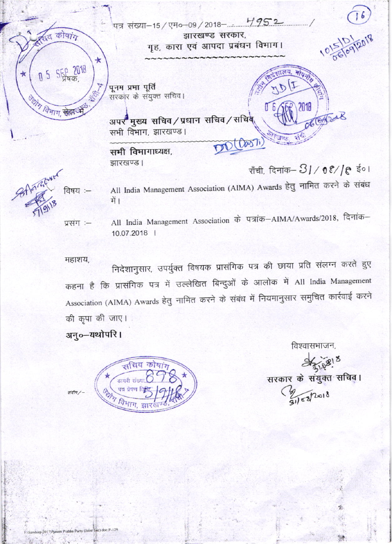पत्र संख्या-15/एम०-09/2018- 4952 त कोषांग झारखण्ड सरकार, गृह, कारा एवं आपदा प्रबंधन विभाग। ★ **SEP 2018** मोपन्न  $\star$  $0<sub>5</sub>$ JD 1 पूनम प्रभा पूर्ति सरकार के संयुक्त सचिव। जिले विभाग सेनार 2018 अपर मुख्य सचिव/प्रधान सचिव/सचिव सभी विभाग, झारखण्ड। DD (Das7) सभी विभागाध्यक्ष, झारखण्ड। राँची, दिनांक-31/08//९ ई०। 3-Anzioner विषय :—

All India Management Association (AIMA) Awards हेतु नामित करने के संबंध में ।

All India Management Association के पत्रांक-AIMA/Awards/2018, दिनांक-प्रसंग :-10.07.2018 |

महाशय.

निदेशानुसार, उपर्युक्त विषयक प्रासंगिक पत्र की छाया प्रति संलग्न करते हुए कहना है कि प्रासंगिक पत्र में उल्लेखित बिन्दुओं के आलोक में All India Management Association (AIMA) Awards हेतु नामित करने के संबंध में नियमानुसार समुचित कार्रवाई करने की कृपा की जाए।

अनु०-यथोपरि।



विश्वासभाजन,

सरकार के संयुक्त सचिवृ।

 $U = 3$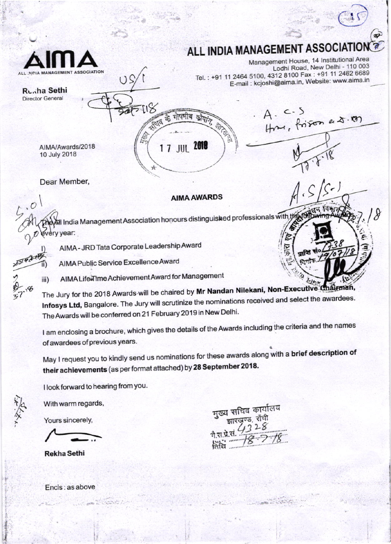

## **ALL INDIA MANAGEMENT ASSOC**

Management House, 14 Institutional Area Lodhi Road, New Delhi - 110 003 Tel.: +91 11 2464 5100, 4312 8100 Fax: +91 11 2462 6689 E-mail : kcjoshi@aima.in, Website: www.aima.in

 $\overline{a}$ 

Runha Sethi **Director General** 

कौयाग् गाएमीय 商 A RIVER 1 7 JUL 2018

Hm, frison a 5.00

z

Dear Member,

 $\cdot$ O

AIMA/Awards/2018 10 July 2018

### **AIMA AWARDS**

will ndia Management Association honours distinguished professionals with the with ery year:

AIMA - JRD Tata Corporate Leadership Award

 $(36)$ 

AIMA Public Service Excellence Award

AIMA Life Time Achievement Award for Management iii)

The Jury for the 2018 Awards will be chaired by Mr Nandan Nilekani, Non-Executive Chairman, Infosys Ltd, Bangalore. The Jury will scrutinize the nominations received and select the awardees. The Awards will be conferred on 21 February 2019 in New Delhi.

I am enclosing a brochure, which gives the details of the Awards including the criteria and the names of awardees of previous years.

May I request you to kindly send us nominations for these awards along with a brief description of their achievements (as per format attached) by 28 September 2018.

I look forward to hearing from you.

With warm regards,

Yours sincerely,

**Rekha Sethi** 

मुख्य सचिव कार्यालय

Encls: as above